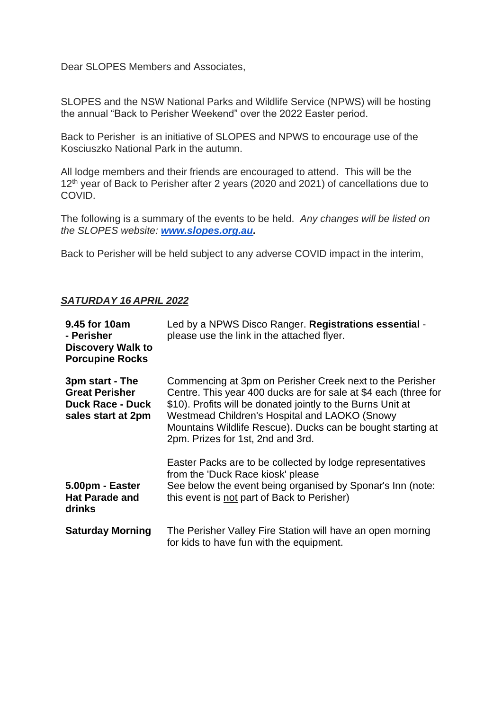Dear SLOPES Members and Associates,

SLOPES and the NSW National Parks and Wildlife Service (NPWS) will be hosting the annual "Back to Perisher Weekend" over the 2022 Easter period.

Back to Perisher is an initiative of SLOPES and NPWS to encourage use of the Kosciuszko National Park in the autumn.

All lodge members and their friends are encouraged to attend. This will be the 12<sup>th</sup> year of Back to Perisher after 2 years (2020 and 2021) of cancellations due to COVID.

The following is a summary of the events to be held. *Any changes will be listed on the SLOPES website: [www.slopes.org.au.](http://www.slopes.org.au/)*

Back to Perisher will be held subject to any adverse COVID impact in the interim,

## *SATURDAY 16 APRIL 2022*

| 9.45 for 10am<br>- Perisher<br><b>Discovery Walk to</b><br><b>Porcupine Rocks</b>         | Led by a NPWS Disco Ranger. Registrations essential -<br>please use the link in the attached flyer.                                                                                                                                                                                                                                              |
|-------------------------------------------------------------------------------------------|--------------------------------------------------------------------------------------------------------------------------------------------------------------------------------------------------------------------------------------------------------------------------------------------------------------------------------------------------|
| 3pm start - The<br><b>Great Perisher</b><br><b>Duck Race - Duck</b><br>sales start at 2pm | Commencing at 3pm on Perisher Creek next to the Perisher<br>Centre. This year 400 ducks are for sale at \$4 each (three for<br>\$10). Profits will be donated jointly to the Burns Unit at<br>Westmead Children's Hospital and LAOKO (Snowy)<br>Mountains Wildlife Rescue). Ducks can be bought starting at<br>2pm. Prizes for 1st, 2nd and 3rd. |
| 5.00pm - Easter<br><b>Hat Parade and</b><br>drinks                                        | Easter Packs are to be collected by lodge representatives<br>from the 'Duck Race kiosk' please<br>See below the event being organised by Sponar's Inn (note:<br>this event is not part of Back to Perisher)                                                                                                                                      |
| <b>Saturday Morning</b>                                                                   | The Perisher Valley Fire Station will have an open morning<br>for kids to have fun with the equipment.                                                                                                                                                                                                                                           |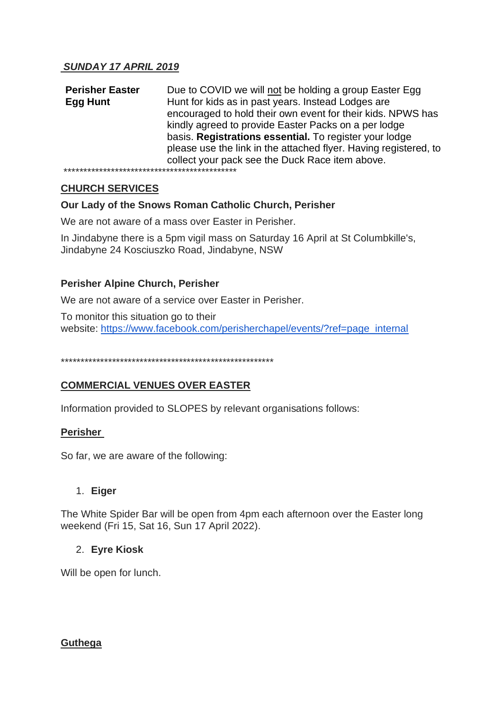**Perisher Easter Egg Hunt** Due to COVID we will not be holding a group Easter Egg Hunt for kids as in past years. Instead Lodges are encouraged to hold their own event for their kids. NPWS has kindly agreed to provide Easter Packs on a per lodge basis. **Registrations essential.** To register your lodge please use the link in the attached flyer. Having registered, to collect your pack see the Duck Race item above. \*\*\*\*\*\*\*\*\*\*\*\*\*\*\*\*\*\*\*\*\*\*\*\*\*\*\*\*\*\*\*\*\*\*\*\*\*\*\*\*\*\*\*\*

# **CHURCH SERVICES**

## **Our Lady of the Snows Roman Catholic Church, Perisher**

We are not aware of a mass over Easter in Perisher.

In Jindabyne there is a 5pm vigil mass on Saturday 16 April at St Columbkille's, Jindabyne 24 Kosciuszko Road, Jindabyne, NSW

## **Perisher Alpine Church, Perisher**

We are not aware of a service over Easter in Perisher.

To monitor this situation go to their website: [https://www.facebook.com/perisherchapel/events/?ref=page\\_internal](https://www.facebook.com/perisherchapel/events/?ref=page_internal)

\*\*\*\*\*\*\*\*\*\*\*\*\*\*\*\*\*\*\*\*\*\*\*\*\*\*\*\*\*\*\*\*\*\*\*\*\*\*\*\*\*\*\*\*\*\*\*\*\*\*\*\*\*\*

# **COMMERCIAL VENUES OVER EASTER**

Information provided to SLOPES by relevant organisations follows:

#### **Perisher**

So far, we are aware of the following:

#### 1. **Eiger**

The White Spider Bar will be open from 4pm each afternoon over the Easter long weekend (Fri 15, Sat 16, Sun 17 April 2022).

#### 2. **Eyre Kiosk**

Will be open for lunch.

#### **Guthega**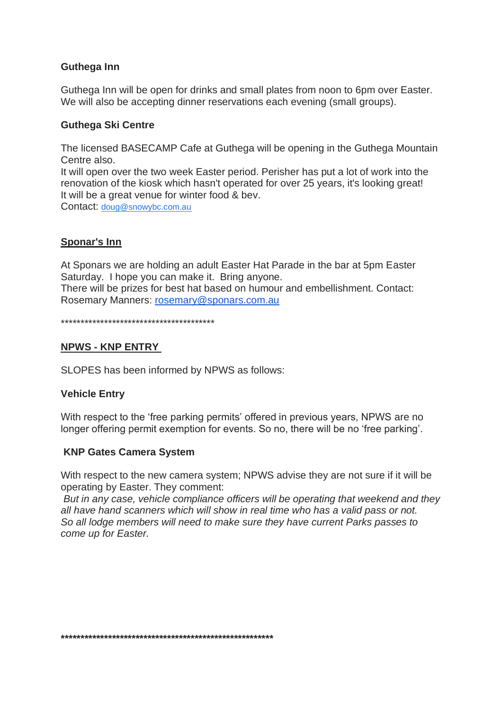## **Guthega Inn**

Guthega Inn will be open for drinks and small plates from noon to 6pm over Easter. We will also be accepting dinner reservations each evening (small groups).

### **Guthega Ski Centre**

The licensed BASECAMP Cafe at Guthega will be opening in the Guthega Mountain Centre also.

It will open over the two week Easter period. Perisher has put a lot of work into the renovation of the kiosk which hasn't operated for over 25 years, it's looking great! It will be a great venue for winter food & bev. Contact: [doug@snowybc.com.au](mailto:doug@snowybc.com.au)

# **Sponar's Inn**

At Sponars we are holding an adult Easter Hat Parade in the bar at 5pm Easter Saturday. I hope you can make it. Bring anyone.

There will be prizes for best hat based on humour and embellishment. Contact: Rosemary Manners: [rosemary@sponars.com.au](mailto:rosemary@sponars.com.au)

\*\*\*\*\*\*\*\*\*\*\*\*\*\*\*\*\*\*\*\*\*\*\*\*\*\*\*\*\*\*\*\*\*\*\*\*\*\*\*

## **NPWS - KNP ENTRY**

SLOPES has been informed by NPWS as follows:

#### **Vehicle Entry**

With respect to the 'free parking permits' offered in previous years, NPWS are no longer offering permit exemption for events. So no, there will be no 'free parking'.

#### **KNP Gates Camera System**

With respect to the new camera system; NPWS advise they are not sure if it will be operating by Easter. They comment:

*But in any case, vehicle compliance officers will be operating that weekend and they all have hand scanners which will show in real time who has a valid pass or not. So all lodge members will need to make sure they have current Parks passes to come up for Easter.*

**\*\*\*\*\*\*\*\*\*\*\*\*\*\*\*\*\*\*\*\*\*\*\*\*\*\*\*\*\*\*\*\*\*\*\*\*\*\*\*\*\*\*\*\*\*\*\*\*\*\*\*\*\*\***